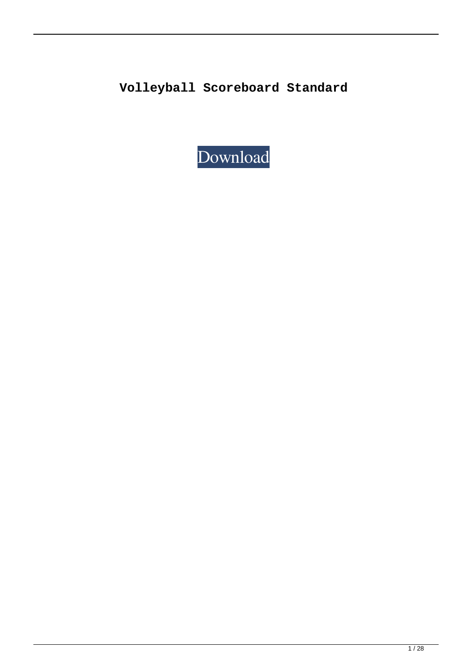**Volleyball Scoreboard Standard**

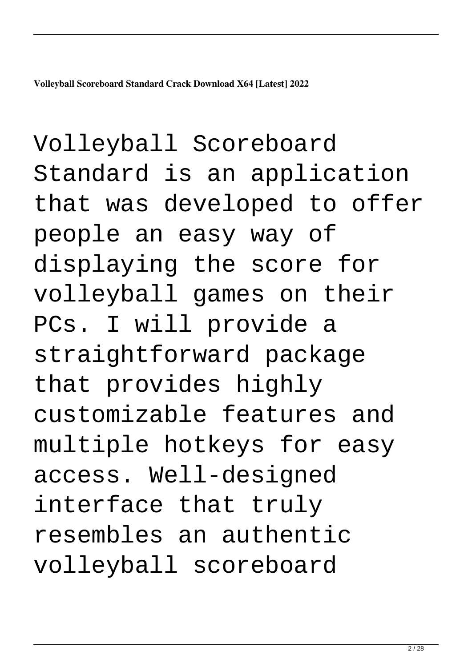**Volleyball Scoreboard Standard Crack Download X64 [Latest] 2022**

Volleyball Scoreboard Standard is an application that was developed to offer people an easy way of displaying the score for volleyball games on their PCs. I will provide a straightforward package that provides highly customizable features and multiple hotkeys for easy access. Well-designed interface that truly resembles an authentic volleyball scoreboard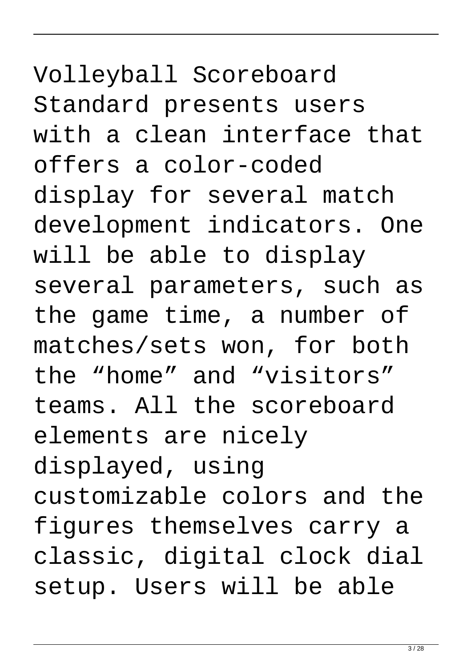## Volleyball Scoreboard Standard presents users with a clean interface that offers a color-coded display for several match development indicators. One will be able to display several parameters, such as the game time, a number of matches/sets won, for both the "home" and "visitors" teams. All the scoreboard elements are nicely displayed, using customizable colors and the figures themselves carry a classic, digital clock dial setup. Users will be able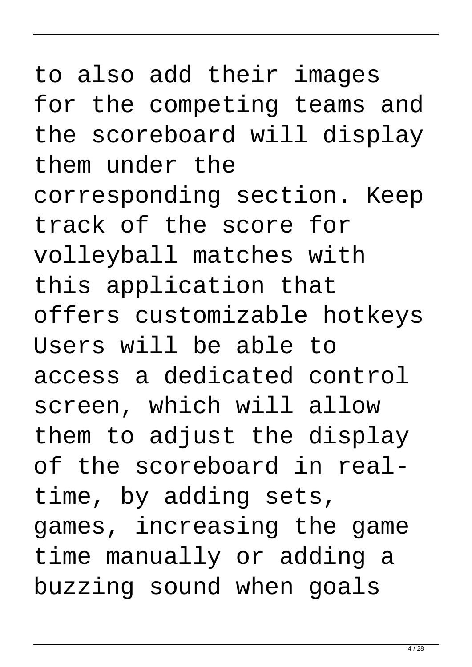## to also add their images for the competing teams and the scoreboard will display them under the corresponding section. Keep track of the score for volleyball matches with this application that offers customizable hotkeys Users will be able to access a dedicated control screen, which will allow them to adjust the display of the scoreboard in realtime, by adding sets, games, increasing the game time manually or adding a buzzing sound when goals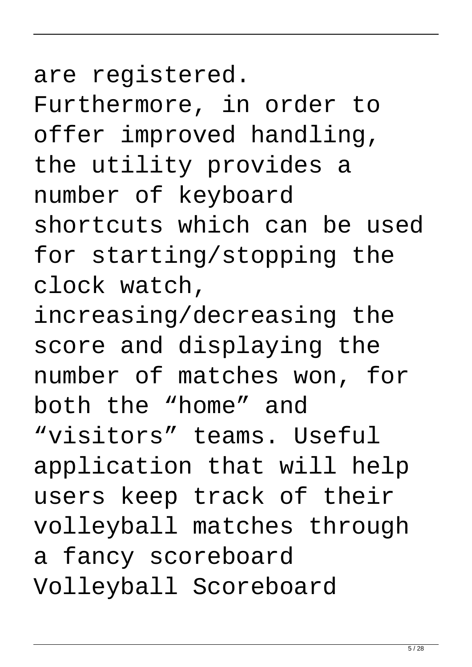are registered. Furthermore, in order to offer improved handling, the utility provides a number of keyboard shortcuts which can be used for starting/stopping the clock watch,

increasing/decreasing the score and displaying the number of matches won, for both the "home" and "visitors" teams. Useful application that will help users keep track of their volleyball matches through a fancy scoreboard Volleyball Scoreboard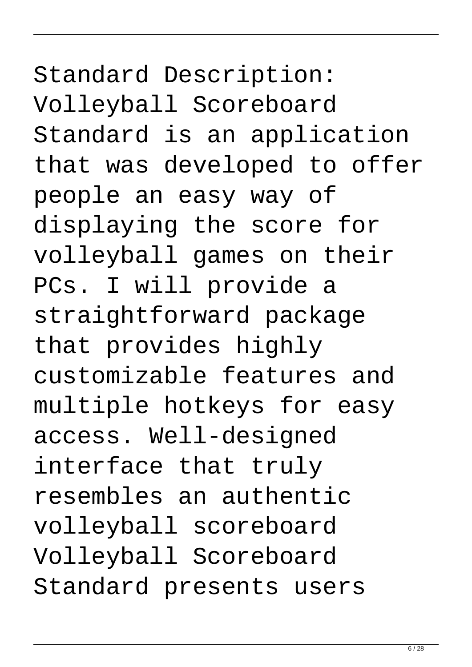Standard Description: Volleyball Scoreboard Standard is an application that was developed to offer people an easy way of displaying the score for volleyball games on their PCs. I will provide a straightforward package that provides highly customizable features and multiple hotkeys for easy access. Well-designed interface that truly resembles an authentic volleyball scoreboard Volleyball Scoreboard Standard presents users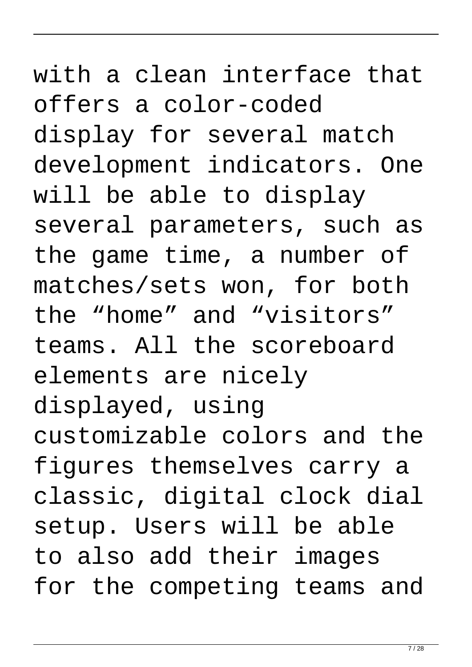## with a clean interface that offers a color-coded display for several match development indicators. One will be able to display several parameters, such as the game time, a number of matches/sets won, for both the "home" and "visitors" teams. All the scoreboard elements are nicely displayed, using customizable colors and the figures themselves carry a classic, digital clock dial setup. Users will be able to also add their images for the competing teams and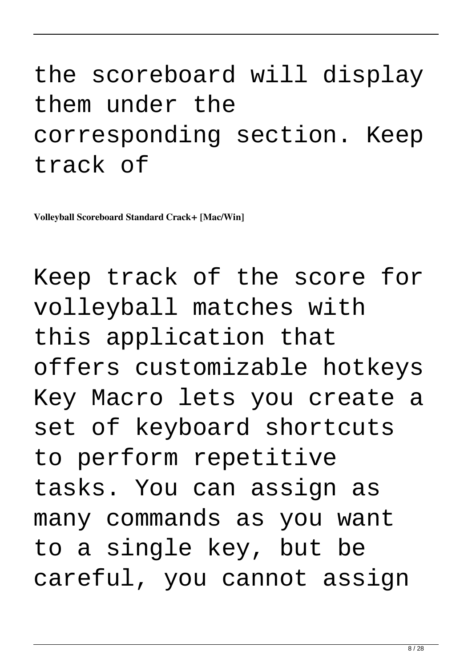#### the scoreboard will display them under the corresponding section. Keep track of

**Volleyball Scoreboard Standard Crack+ [Mac/Win]**

Keep track of the score for volleyball matches with this application that offers customizable hotkeys Key Macro lets you create a set of keyboard shortcuts to perform repetitive tasks. You can assign as many commands as you want to a single key, but be careful, you cannot assign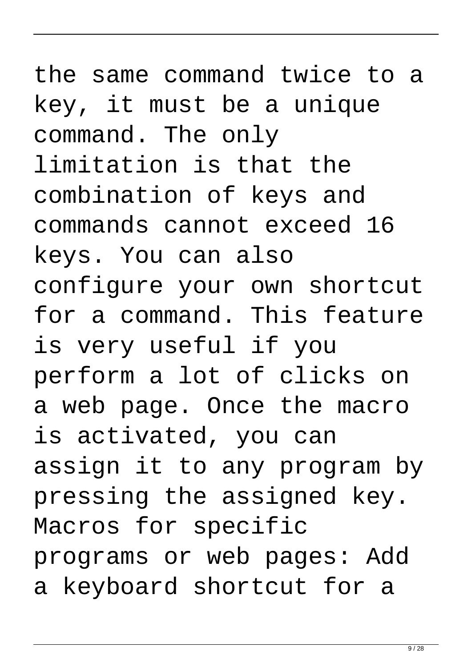the same command twice to a key, it must be a unique command. The only limitation is that the combination of keys and commands cannot exceed 16 keys. You can also configure your own shortcut for a command. This feature is very useful if you perform a lot of clicks on a web page. Once the macro is activated, you can assign it to any program by pressing the assigned key. Macros for specific programs or web pages: Add a keyboard shortcut for a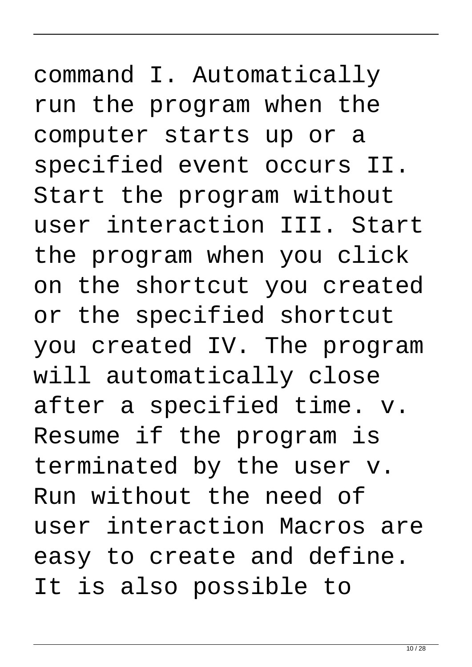command I. Automatically run the program when the computer starts up or a specified event occurs II. Start the program without user interaction III. Start the program when you click on the shortcut you created or the specified shortcut you created IV. The program will automatically close after a specified time. v. Resume if the program is terminated by the user v. Run without the need of user interaction Macros are easy to create and define. It is also possible to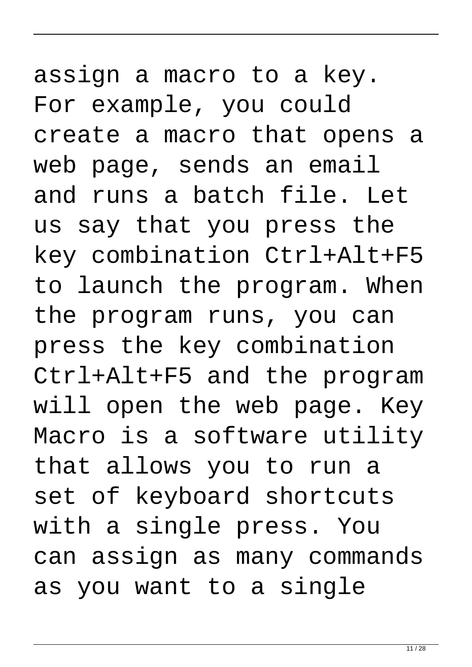assign a macro to a key. For example, you could create a macro that opens a web page, sends an email and runs a batch file. Let us say that you press the key combination Ctrl+Alt+F5 to launch the program. When the program runs, you can press the key combination Ctrl+Alt+F5 and the program will open the web page. Key Macro is a software utility that allows you to run a set of keyboard shortcuts with a single press. You can assign as many commands as you want to a single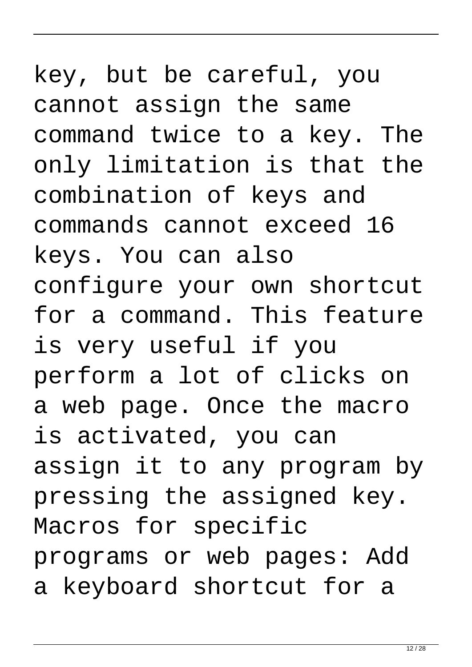## key, but be careful, you cannot assign the same command twice to a key. The only limitation is that the combination of keys and commands cannot exceed 16 keys. You can also configure your own shortcut for a command. This feature is very useful if you perform a lot of clicks on a web page. Once the macro is activated, you can assign it to any program by pressing the assigned key. Macros for specific programs or web pages: Add a keyboard shortcut for a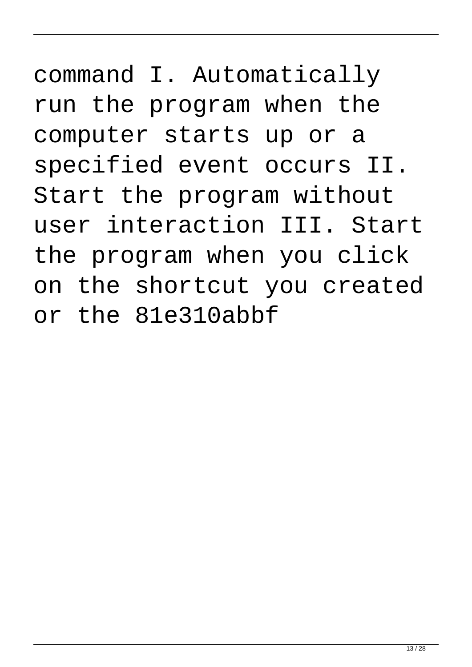command I. Automatically run the program when the computer starts up or a specified event occurs II. Start the program without user interaction III. Start the program when you click on the shortcut you created or the 81e310abbf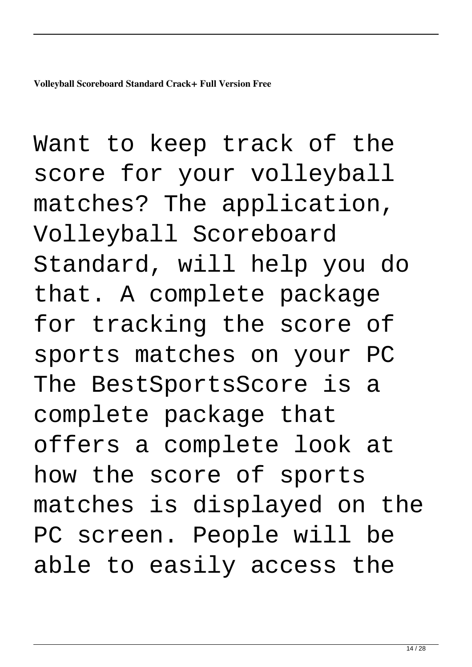**Volleyball Scoreboard Standard Crack+ Full Version Free**

Want to keep track of the score for your volleyball matches? The application, Volleyball Scoreboard Standard, will help you do that. A complete package for tracking the score of sports matches on your PC The BestSportsScore is a complete package that offers a complete look at how the score of sports matches is displayed on the PC screen. People will be able to easily access the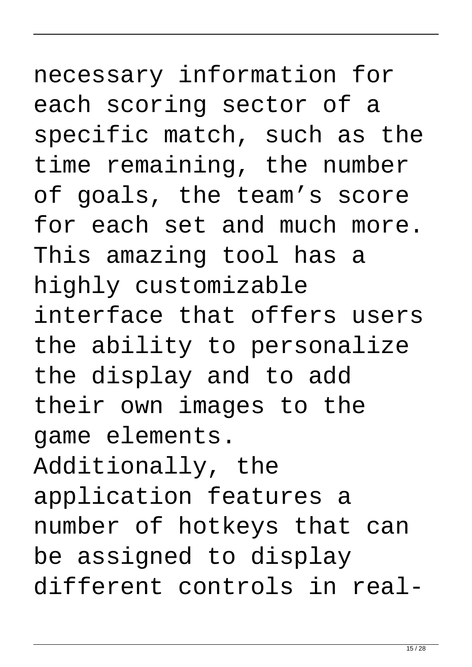necessary information for each scoring sector of a specific match, such as the time remaining, the number of goals, the team's score for each set and much more. This amazing tool has a highly customizable interface that offers users the ability to personalize the display and to add their own images to the game elements. Additionally, the application features a number of hotkeys that can be assigned to display different controls in real-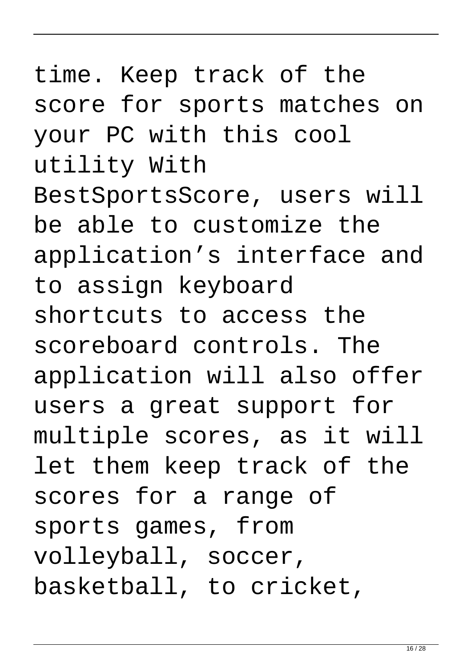time. Keep track of the score for sports matches on your PC with this cool utility With BestSportsScore, users will be able to customize the application's interface and to assign keyboard shortcuts to access the scoreboard controls. The application will also offer users a great support for multiple scores, as it will let them keep track of the scores for a range of sports games, from volleyball, soccer, basketball, to cricket,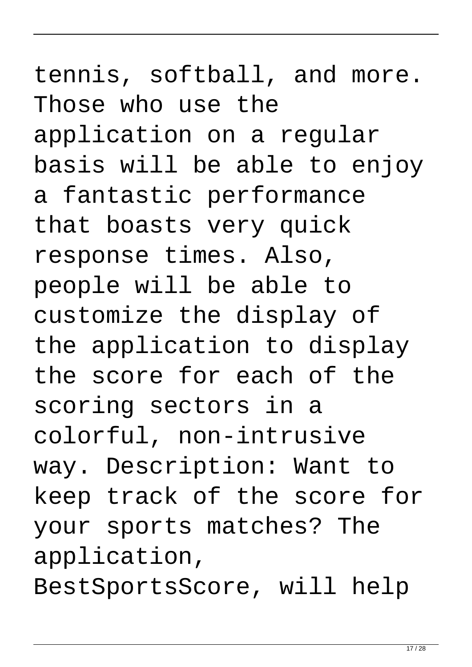tennis, softball, and more. Those who use the application on a regular basis will be able to enjoy a fantastic performance that boasts very quick response times. Also, people will be able to customize the display of the application to display the score for each of the scoring sectors in a colorful, non-intrusive way. Description: Want to keep track of the score for your sports matches? The application, BestSportsScore, will help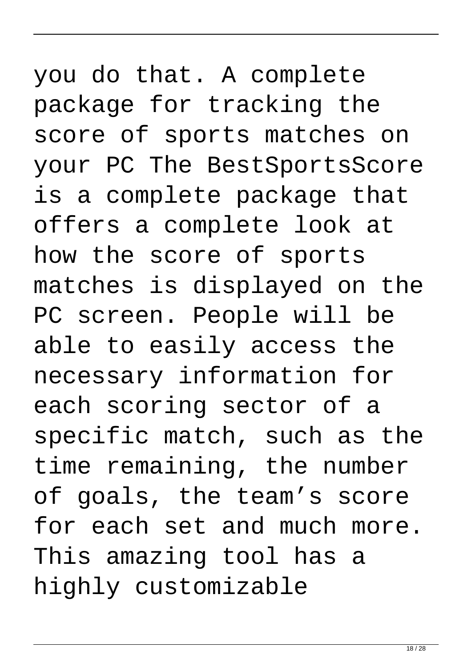you do that. A complete package for tracking the score of sports matches on your PC The BestSportsScore is a complete package that offers a complete look at how the score of sports matches is displayed on the PC screen. People will be able to easily access the necessary information for each scoring sector of a specific match, such as the time remaining, the number of goals, the team's score for each set and much more. This amazing tool has a highly customizable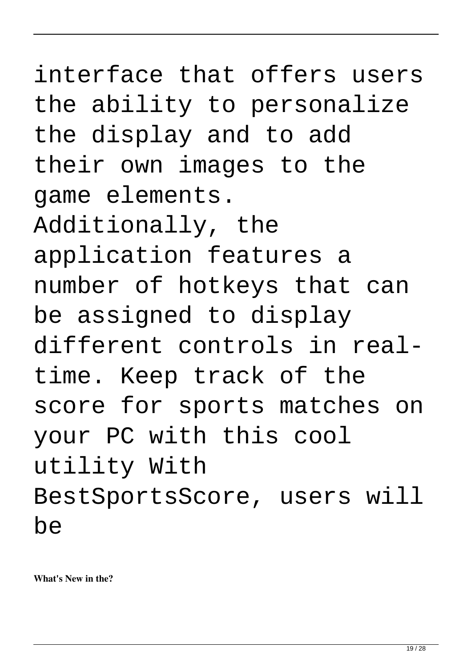interface that offers users the ability to personalize the display and to add their own images to the game elements. Additionally, the application features a number of hotkeys that can be assigned to display different controls in realtime. Keep track of the score for sports matches on your PC with this cool utility With BestSportsScore, users will be

**What's New in the?**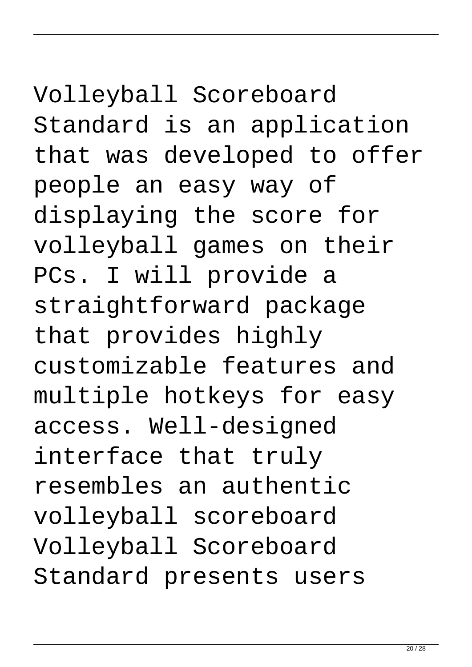# Volleyball Scoreboard Standard is an application that was developed to offer people an easy way of displaying the score for

volleyball games on their PCs. I will provide a straightforward package that provides highly customizable features and multiple hotkeys for easy access. Well-designed interface that truly resembles an authentic volleyball scoreboard Volleyball Scoreboard Standard presents users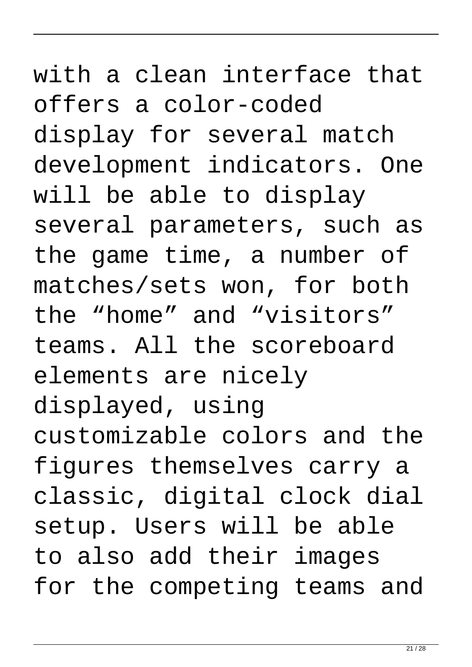## with a clean interface that offers a color-coded display for several match development indicators. One will be able to display several parameters, such as the game time, a number of matches/sets won, for both the "home" and "visitors" teams. All the scoreboard elements are nicely displayed, using customizable colors and the figures themselves carry a classic, digital clock dial setup. Users will be able to also add their images for the competing teams and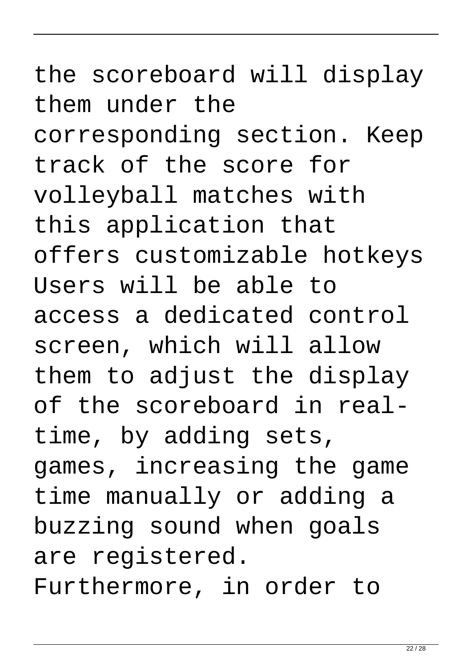the scoreboard will display them under the corresponding section. Keep track of the score for volleyball matches with this application that offers customizable hotkeys Users will be able to access a dedicated control screen, which will allow them to adjust the display of the scoreboard in realtime, by adding sets, games, increasing the game time manually or adding a buzzing sound when goals are registered. Furthermore, in order to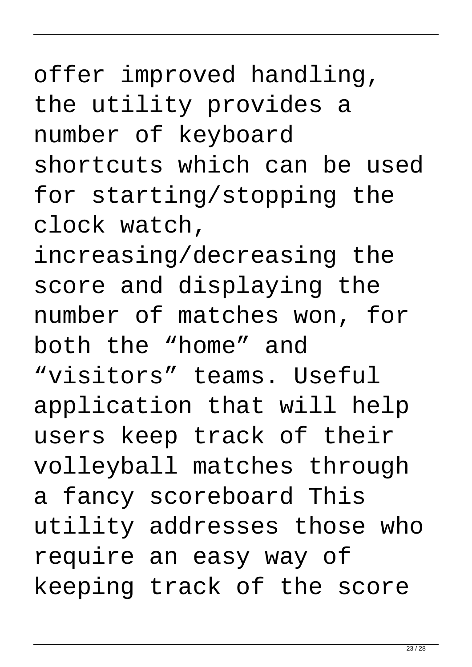offer improved handling, the utility provides a number of keyboard shortcuts which can be used for starting/stopping the clock watch,

increasing/decreasing the score and displaying the number of matches won, for both the "home" and "visitors" teams. Useful application that will help users keep track of their volleyball matches through a fancy scoreboard This utility addresses those who require an easy way of keeping track of the score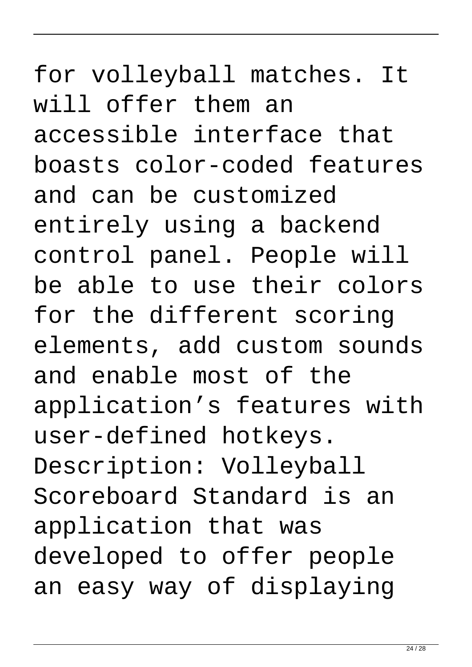for volleyball matches. It will offer them an accessible interface that boasts color-coded features and can be customized entirely using a backend control panel. People will be able to use their colors for the different scoring elements, add custom sounds and enable most of the application's features with user-defined hotkeys. Description: Volleyball Scoreboard Standard is an application that was developed to offer people an easy way of displaying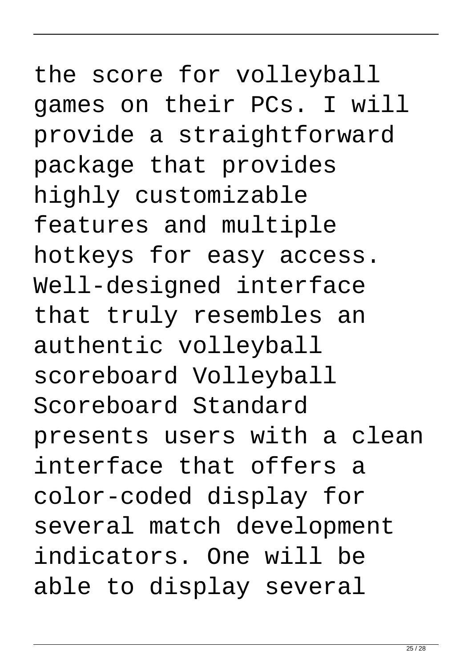the score for volleyball games on their PCs. I will provide a straightforward package that provides highly customizable features and multiple hotkeys for easy access. Well-designed interface that truly resembles an authentic volleyball scoreboard Volleyball Scoreboard Standard presents users with a clean interface that offers a color-coded display for several match development indicators. One will be able to display several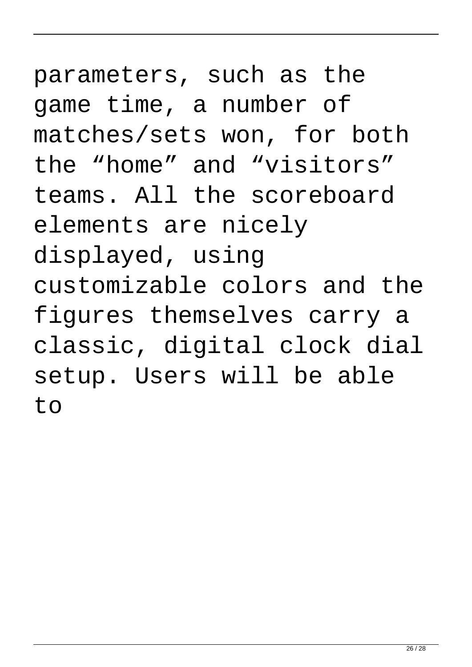parameters, such as the game time, a number of matches/sets won, for both the "home" and "visitors" teams. All the scoreboard elements are nicely displayed, using customizable colors and the figures themselves carry a classic, digital clock dial setup. Users will be able to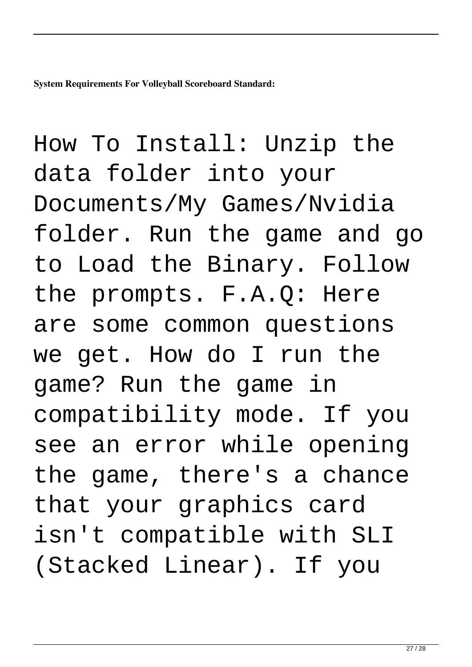**System Requirements For Volleyball Scoreboard Standard:**

How To Install: Unzip the data folder into your Documents/My Games/Nvidia folder. Run the game and go to Load the Binary. Follow the prompts. F.A.Q: Here are some common questions we get. How do I run the game? Run the game in compatibility mode. If you see an error while opening the game, there's a chance that your graphics card isn't compatible with SLI (Stacked Linear). If you